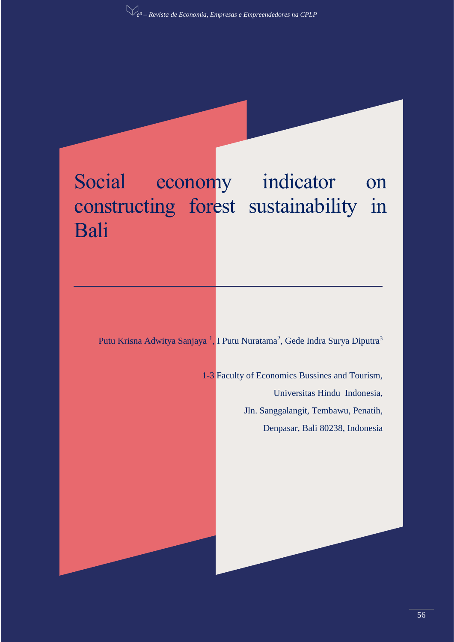# Social economy indicator on constructing forest sustainability in Bali

Putu Krisna Adwitya Sanjaya<sup>1</sup>, I Putu Nuratama<sup>2</sup>, Gede Indra Surya Diputra<sup>3</sup>

1-3 Faculty of Economics Bussines and Tourism, Universitas Hindu Indonesia, Jln. Sanggalangit, Tembawu, Penatih,

Denpasar, Bali 80238, Indonesia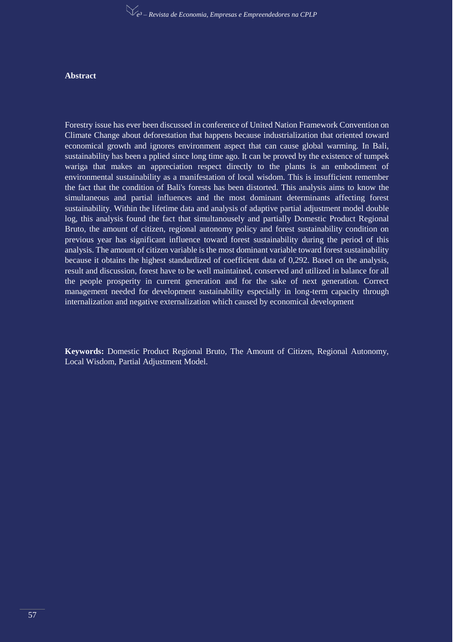#### **Abstract**

Forestry issue has ever been discussed in conference of United Nation Framework Convention on Climate Change about deforestation that happens because industrialization that oriented toward economical growth and ignores environment aspect that can cause global warming. In Bali, sustainability has been a pplied since long time ago. It can be proved by the existence of tumpek wariga that makes an appreciation respect directly to the plants is an embodiment of environmental sustainability as a manifestation of local wisdom. This is insufficient remember the fact that the condition of Bali's forests has been distorted. This analysis aims to know the simultaneous and partial influences and the most dominant determinants affecting forest sustainability. Within the lifetime data and analysis of adaptive partial adjustment model double log, this analysis found the fact that simultanousely and partially Domestic Product Regional Bruto, the amount of citizen, regional autonomy policy and forest sustainability condition on previous year has significant influence toward forest sustainability during the period of this analysis. The amount of citizen variable is the most dominant variable toward forest sustainability because it obtains the highest standardized of coefficient data of 0,292. Based on the analysis, result and discussion, forest have to be well maintained, conserved and utilized in balance for all the people prosperity in current generation and for the sake of next generation. Correct management needed for development sustainability especially in long-term capacity through internalization and negative externalization which caused by economical development

**Keywords:** Domestic Product Regional Bruto, The Amount of Citizen, Regional Autonomy, Local Wisdom, Partial Adjustment Model.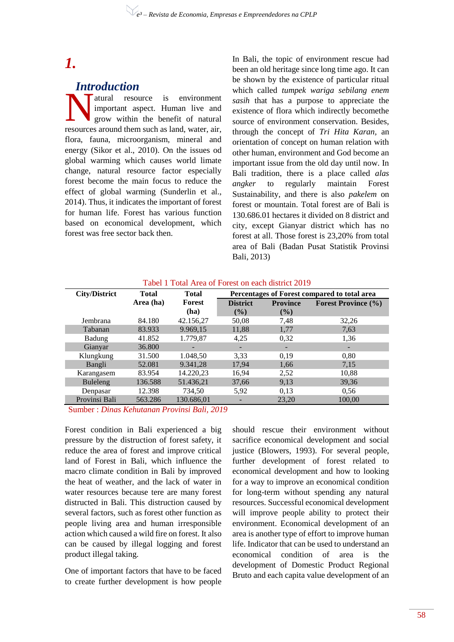# *1.*

# *Introduction*

atural resource is environment important aspect. Human live and grow within the benefit of natural The value of the search as a environment<br>
important aspect. Human live and<br>
grow within the benefit of natural<br>
resources around them such as land, water, air, flora, fauna, microorganism, mineral and energy (Sikor et al., 2010). On the issues od global warming which causes world limate change, natural resource factor especially forest become the main focus to reduce the effect of global warming (Sunderlin et al., 2014). Thus, it indicates the important of forest for human life. Forest has various function based on economical development, which forest was free sector back then.

In Bali, the topic of environment rescue had been an old heritage since long time ago. It can be shown by the existence of particular ritual which called *tumpek wariga sebilang enem sasih* that has a purpose to appreciate the existence of flora which indirectly becomethe source of environment conservation. Besides, through the concept of *Tri Hita Karan,* an orientation of concept on human relation with other human, environment and God become an important issue from the old day until now. In Bali tradition, there is a place called *alas angker* to regularly maintain Forest Sustainability, and there is also *pakelem* on forest or mountain. Total forest are of Bali is 130.686.01 hectares it divided on 8 district and city, except Gianyar district which has no forest at all. Those forest is 23,20% from total area of Bali (Badan Pusat Statistik Provinsi Bali, 2013)

| Tabel 1 Total Area of Forest on each district 2019 |  |  |  |  |  |  |  |  |  |  |
|----------------------------------------------------|--|--|--|--|--|--|--|--|--|--|
|----------------------------------------------------|--|--|--|--|--|--|--|--|--|--|

| <b>City/District</b> | <b>Total</b> | <b>Total</b> |                          |                 | Percentages of Forest compared to total area |
|----------------------|--------------|--------------|--------------------------|-----------------|----------------------------------------------|
|                      | Area (ha)    | Forest       | <b>District</b>          | <b>Province</b> | <b>Forest Province (%)</b>                   |
|                      |              | (ha)         | $($ %)                   | $($ %)          |                                              |
| Jembrana             | 84.180       | 42.156,27    | 50,08                    | 7,48            | 32,26                                        |
| Tabanan              | 83.933       | 9.969,15     | 11,88                    | 1,77            | 7,63                                         |
| Badung               | 41.852       | 1.779,87     | 4,25                     | 0,32            | 1,36                                         |
| Gianyar              | 36.800       |              | $\overline{\phantom{0}}$ |                 |                                              |
| Klungkung            | 31.500       | 1.048,50     | 3,33                     | 0,19            | 0,80                                         |
| Bangli               | 52.081       | 9.341,28     | 17.94                    | 1,66            | 7,15                                         |
| Karangasem           | 83.954       | 14.220,23    | 16,94                    | 2,52            | 10,88                                        |
| Buleleng             | 136.588      | 51.436,21    | 37,66                    | 9,13            | 39,36                                        |
| Denpasar             | 12.398       | 734,50       | 5,92                     | 0.13            | 0.56                                         |
| Provinsi Bali        | 563.286      | 130.686.01   |                          | 23,20           | 100.00                                       |

Sumber : *Dinas Kehutanan Provinsi Bali, 2019*

Forest condition in Bali experienced a big pressure by the distruction of forest safety, it reduce the area of forest and improve critical land of Forest in Bali, which influence the macro climate condition in Bali by improved the heat of weather, and the lack of water in water resources because tere are many forest distructed in Bali. This distruction caused by several factors, such as forest other function as people living area and human irresponsible action which caused a wild fire on forest. It also can be caused by illegal logging and forest product illegal taking.

One of important factors that have to be faced to create further development is how people

should rescue their environment without sacrifice economical development and social justice (Blowers, 1993). For several people, further development of forest related to economical development and how to looking for a way to improve an economical condition for long-term without spending any natural resources. Successful economical development will improve people ability to protect their environment. Economical development of an area is another type of effort to improve human life. Indicator that can be used to understand an economical condition of area is the development of Domestic Product Regional Bruto and each capita value development of an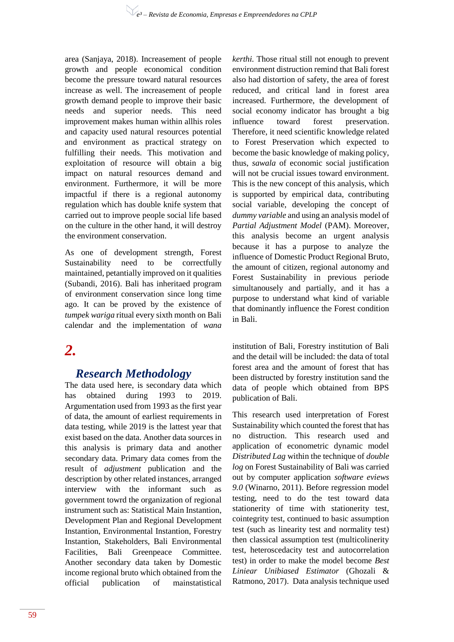area (Sanjaya, 2018). Increasement of people growth and people economical condition become the pressure toward natural resources increase as well. The increasement of people growth demand people to improve their basic needs and superior needs. This need improvement makes human within allhis roles and capacity used natural resources potential and environment as practical strategy on fulfilling their needs. This motivation and exploitation of resource will obtain a big impact on natural resources demand and environment. Furthermore, it will be more impactful if there is a regional autonomy regulation which has double knife system that carried out to improve people social life based on the culture in the other hand, it will destroy the environment conservation.

As one of development strength, Forest Sustainability need to be correctfully maintained, petantially improved on it qualities (Subandi, 2016). Bali has inheritaed program of environment conservation since long time ago. It can be proved by the existence of *tumpek wariga* ritual every sixth month on Bali calendar and the implementation of *wana* 

# *2.*

# *Research Methodology*

The data used here, is secondary data which has obtained during 1993 to 2019. Argumentation used from 1993 as the first year of data, the amount of earliest requirements in data testing, while 2019 is the lattest year that exist based on the data. Another data sources in this analysis is primary data and another secondary data. Primary data comes from the result of *adjustment* publication and the description by other related instances, arranged interview with the informant such as government towrd the organization of regional instrument such as: Statistical Main Instantion, Development Plan and Regional Development Instantion, Environmental Instantion, Forestry Instantion, Stakeholders, Bali Environmental Facilities, Bali Greenpeace Committee. Another secondary data taken by Domestic income regional bruto which obtained from the official publication of mainstatistical

*kerthi.* Those ritual still not enough to prevent environment distruction remind that Bali forest also had distortion of safety, the area of forest reduced, and critical land in forest area increased. Furthermore, the development of social economy indicator has brought a big influence toward forest preservation. Therefore, it need scientific knowledge related to Forest Preservation which expected to become the basic knowledge of making policy, thus, *sawala* of economic social justification will not be crucial issues toward environment. This is the new concept of this analysis, which is supported by empirical data, contributing social variable, developing the concept of *dummy variable* and using an analysis model of *Partial Adjustment Model* (PAM). Moreover, this analysis become an urgent analysis because it has a purpose to analyze the influence of Domestic Product Regional Bruto, the amount of citizen, regional autonomy and Forest Sustainability in previous periode simultanousely and partially, and it has a purpose to understand what kind of variable that dominantly influence the Forest condition in Bali.

institution of Bali, Forestry institution of Bali and the detail will be included: the data of total forest area and the amount of forest that has been distructed by forestry institution sand the data of people which obtained from BPS publication of Bali.

This research used interpretation of Forest Sustainability which counted the forest that has no distruction. This research used and application of econometric dynamic model *Distributed Lag* within the technique of *double log* on Forest Sustainability of Bali was carried out by computer application *software eviews 9.0* (Winarno, 2011). Before regression model testing, need to do the test toward data stationerity of time with stationerity test, cointegrity test, continued to basic assumption test (such as linearity test and normality test) then classical assumption test (multicolinerity test, heteroscedacity test and autocorrelation test) in order to make the model become *Best Liniear Unibiased Estimator* (Ghozali & Ratmono, 2017). Data analysis technique used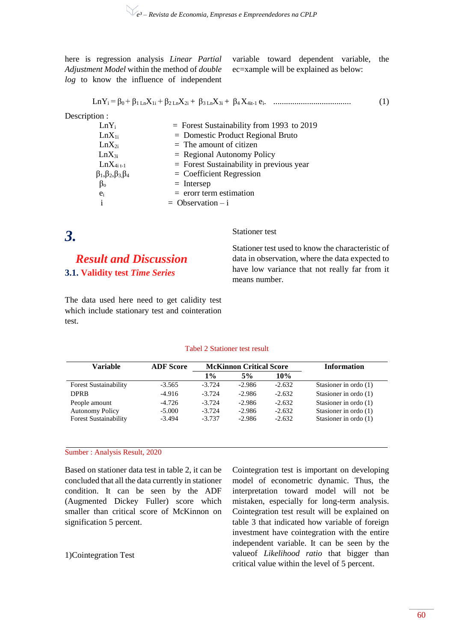here is regression analysis *Linear Partial Adjustment Model* within the method of *double log* to know the influence of independent

variable toward dependent variable, the ec=xample will be explained as below:

$$
LnY_i = \beta_0 + \beta_1 L_n X_{1i} + \beta_2 L_n X_{2i} + \beta_3 L_n X_{3i} + \beta_4 X_{4i-1} e_i.
$$
 (1)

Description :

| $LnY_i$                              | $=$ Forest Sustainability from 1993 to 2019 |
|--------------------------------------|---------------------------------------------|
| $LnX_{1i}$                           | $=$ Domestic Product Regional Bruto         |
| $LnX_{2i}$                           | $=$ The amount of citizen                   |
| $LnX_{3i}$                           | $=$ Regional Autonomy Policy                |
| $LnX_{4i}$ <sub>t-1</sub>            | $=$ Forest Sustainability in previous year  |
| $\beta_1, \beta_2, \beta_3, \beta_4$ | $=$ Coefficient Regression                  |
| $\beta_{o}$                          | $=$ Intersep                                |
| $e_i$                                | $=$ erorr term estimation                   |
|                                      | $=$ Observation $-$ i                       |
|                                      |                                             |

*3.*

*Result and Discussion* **3.1. Validity test** *Time Series*

The data used here need to get calidity test which include stationary test and cointeration test.

Stationer test

Stationer test used to know the characteristic of data in observation, where the data expected to have low variance that not really far from it means number.

#### Tabel 2 Stationer test result

| Variable                                                                | <b>ADF</b> Score                 |                                  | <b>McKinnon Critical Score</b>   |                                  | <b>Information</b>                                                            |
|-------------------------------------------------------------------------|----------------------------------|----------------------------------|----------------------------------|----------------------------------|-------------------------------------------------------------------------------|
|                                                                         |                                  | 1%                               | 5%                               | 10%                              |                                                                               |
| <b>Forest Sustainability</b>                                            | $-3.565$                         | $-3.724$                         | $-2.986$                         | $-2.632$                         | Stasioner in ordo $(1)$                                                       |
| <b>DPRB</b>                                                             | $-4.916$                         | $-3.724$                         | $-2.986$                         | $-2.632$                         | Stasioner in ordo $(1)$                                                       |
| People amount<br><b>Autonomy Policy</b><br><b>Forest Sustainability</b> | $-4.726$<br>$-5.000$<br>$-3.494$ | $-3.724$<br>$-3.724$<br>$-3.737$ | $-2.986$<br>$-2.986$<br>$-2.986$ | $-2.632$<br>$-2.632$<br>$-2.632$ | Stasioner in ordo $(1)$<br>Stasioner in ordo $(1)$<br>Stasioner in ordo $(1)$ |

#### Sumber : Analysis Result, 2020

Based on stationer data test in table 2, it can be concluded that all the data currently in stationer condition. It can be seen by the ADF (Augmented Dickey Fuller) score which smaller than critical score of McKinnon on signification 5 percent.

#### 1)Cointegration Test

Cointegration test is important on developing model of econometric dynamic. Thus, the interpretation toward model will not be mistaken, especially for long-term analysis. Cointegration test result will be explained on table 3 that indicated how variable of foreign investment have cointegration with the entire independent variable. It can be seen by the valueof *Likelihood ratio* that bigger than critical value within the level of 5 percent.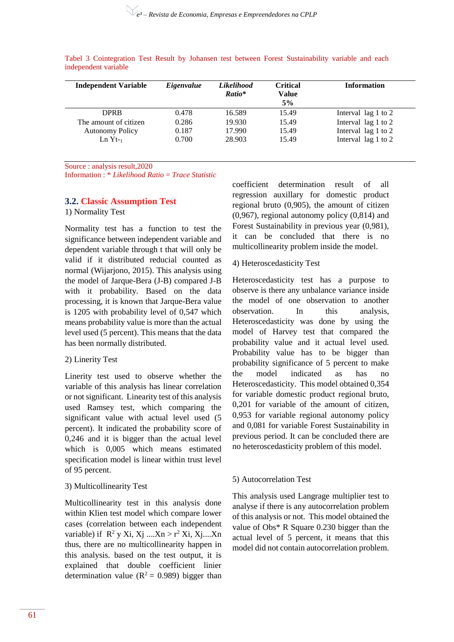| <b>Independent Variable</b> | Eigenvalue | <b>Likelihood</b> | <b>Critical</b> | <b>Information</b>  |
|-----------------------------|------------|-------------------|-----------------|---------------------|
|                             |            | Ratio*            | Value           |                     |
|                             |            |                   | 5%              |                     |
| <b>DPRB</b>                 | 0.478      | 16.589            | 15.49           | Interval lag 1 to 2 |
| The amount of citizen       | 0.286      | 19.930            | 15.49           | Interval lag 1 to 2 |
| <b>Autonomy Policy</b>      | 0.187      | 17.990            | 15.49           | Interval lag 1 to 2 |
| $Ln Yt-1$                   | 0.700      | 28.903            | 15.49           | Interval lag 1 to 2 |

Tabel 3 Cointegration Test Result by Johansen test between Forest Sustainability variable and each independent variable

Source : analysis result,2020

Information : \* *Likelihood Ratio* = *Trace Statistic*

#### **3.2. Classic Assumption Test**

1) Normality Test

Normality test has a function to test the significance between independent variable and dependent variable through t that will only be valid if it distributed reducial counted as normal (Wijarjono, 2015). This analysis using the model of Jarque-Bera (J-B) compared J-B with it probability. Based on the data processing, it is known that Jarque-Bera value is 1205 with probability level of 0,547 which means probability value is more than the actual level used (5 percent). This means that the data has been normally distributed.

#### 2) Linerity Test

Linerity test used to observe whether the variable of this analysis has linear correlation or not significant. Linearity test of this analysis used Ramsey test, which comparing the significant value with actual level used (5 percent). It indicated the probability score of 0,246 and it is bigger than the actual level which is 0,005 which means estimated specification model is linear within trust level of 95 percent.

#### 3) Multicollinearity Test

Multicollinearity test in this analysis done within Klien test model which compare lower cases (correlation between each independent variable) if  $R^2$  y Xi, Xj ....Xn > r<sup>2</sup> Xi, Xj ....Xn thus, there are no multicollinearity happen in this analysis. based on the test output, it is explained that double coefficient linier determination value ( $R^2 = 0.989$ ) bigger than

coefficient determination result of all regression auxillary for domestic product regional bruto (0,905), the amount of citizen (0,967), regional autonomy policy (0,814) and Forest Sustainability in previous year (0,981), it can be concluded that there is no multicollinearity problem inside the model.

#### 4) Heteroscedasticity Test

Heteroscedasticity test has a purpose to observe is there any unbalance variance inside the model of one observation to another observation. In this analysis, Heteroscedasticity was done by using the model of Harvey test that compared the probability value and it actual level used. Probability value has to be bigger than probability significance of 5 percent to make the model indicated as has no Heteroscedasticity. This model obtained 0,354 for variable domestic product regional bruto, 0,201 for variable of the amount of citizen, 0,953 for variable regional autonomy policy and 0,081 for variable Forest Sustainability in previous period. It can be concluded there are no heteroscedasticity problem of this model.

#### 5) Autocorrelation Test

This analysis used Langrage multiplier test to analyse if there is any autocorrelation problem of this analysis or not. This model obtained the value of Obs\* R Square 0.230 bigger than the actual level of 5 percent, it means that this model did not contain autocorrelation problem.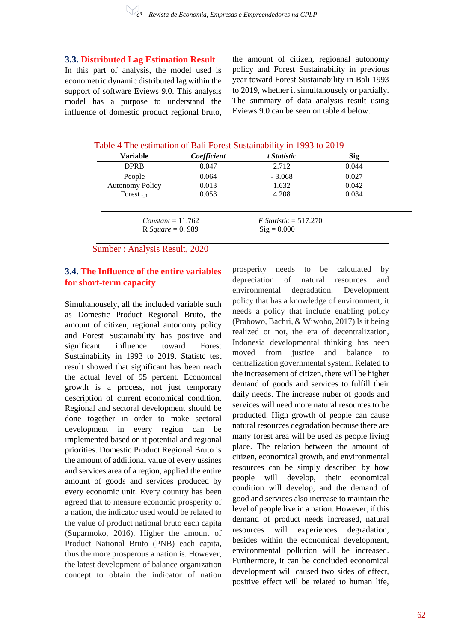**3.3. Distributed Lag Estimation Result**

In this part of analysis, the model used is econometric dynamic distributed lag within the support of software Eviews 9.0. This analysis model has a purpose to understand the influence of domestic product regional bruto, the amount of citizen, regioanal autonomy policy and Forest Sustainability in previous year toward Forest Sustainability in Bali 1993 to 2019, whether it simultanousely or partially. The summary of data analysis result using Eviews 9.0 can be seen on table 4 below.

Table 4 The estimation of Bali Forest Sustainability in 1993 to 2019

| Variable               | Coefficient | t Statistic             | <b>Sig</b> |
|------------------------|-------------|-------------------------|------------|
| <b>DPRB</b>            | 0.047       | 2.712                   | 0.044      |
| People                 | 0.064       | $-3.068$                | 0.027      |
| <b>Autonomy Policy</b> | 0.013       | 1.632                   | 0.042      |
| Forest $_{t-1}$        | 0.053       | 4.208                   | 0.034      |
|                        |             |                         |            |
| $Constant = 11.762$    |             | $F$ Statistic = 517.270 |            |
| R Square = $0.989$     |             | $\text{Sig} = 0.000$    |            |
|                        |             |                         |            |

Sumber : Analysis Result, 2020

# **3.4. The Influence of the entire variables for short-term capacity**

Simultanousely, all the included variable such as Domestic Product Regional Bruto, the amount of citizen, regional autonomy policy and Forest Sustainability has positive and significant influence toward Forest Sustainability in 1993 to 2019. Statistc test result showed that significant has been reach the actual level of 95 percent. Economcal growth is a process, not just temporary description of current economical condition. Regional and sectoral development should be done together in order to make sectoral development in every region can be implemented based on it potential and regional priorities. Domestic Product Regional Bruto is the amount of additional value of every ussines and services area of a region, applied the entire amount of goods and services produced by every economic unit. Every country has been agreed that to measure economic prosperity of a nation, the indicator used would be related to the value of product national bruto each capita (Suparmoko, 2016). Higher the amount of Product National Bruto (PNB) each capita, thus the more prosperous a nation is. However, the latest development of balance organization concept to obtain the indicator of nation

prosperity needs to be calculated by depreciation of natural resources and environmental degradation. Development policy that has a knowledge of environment, it needs a policy that include enabling policy (Prabowo, Bachri, & Wiwoho, 2017) Is it being realized or not, the era of decentralization, Indonesia developmental thinking has been moved from justice and balance to centralization governmental system. Related to the increasement of citizen, there will be higher demand of goods and services to fulfill their daily needs. The increase nuber of goods and services will need more natural resources to be producted. High growth of people can cause natural resources degradation because there are many forest area will be used as people living place. The relation between the amount of citizen, economical growth, and environmental resources can be simply described by how people will develop, their economical condition will develop, and the demand of good and services also increase to maintain the level of people live in a nation. However, if this demand of product needs increased, natural resources will experiences degradation, besides within the economical development, environmental pollution will be increased. Furthermore, it can be concluded economical development will caused two sides of effect, positive effect will be related to human life,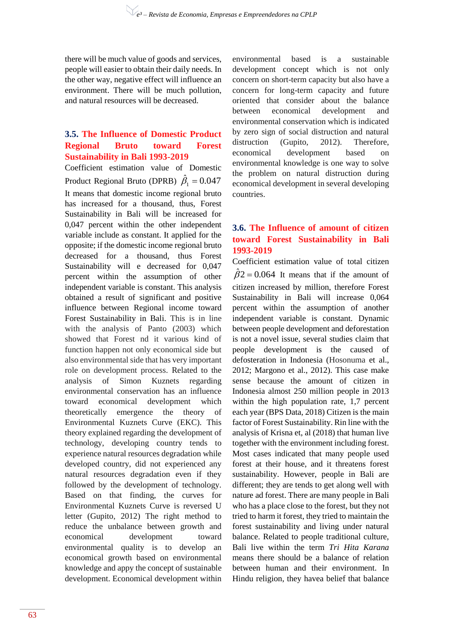there will be much value of goods and services, people will easier to obtain their daily needs. In the other way, negative effect will influence an environment. There will be much pollution, and natural resources will be decreased.

## **3.5. The Influence of Domestic Product Regional Bruto toward Forest Sustainability in Bali 1993-2019**

Coefficient estimation value of Domestic Product Regional Bruto (DPRB)  $\hat{\beta}_1 = 0.047$ It means that domestic income regional bruto has increased for a thousand, thus, Forest Sustainability in Bali will be increased for 0,047 percent within the other independent variable include as constant. It applied for the opposite; if the domestic income regional bruto decreased for a thousand, thus Forest Sustainability will e decreased for 0,047 percent within the assumption of other independent variable is constant. This analysis obtained a result of significant and positive influence between Regional income toward Forest Sustainability in Bali. This is in line with the analysis of Panto (2003) which showed that Forest nd it various kind of function happen not only economical side but also environmental side that has very important role on development process. Related to the analysis of Simon Kuznets regarding environmental conservation has an influence toward economical development which theoretically emergence the theory of Environmental Kuznets Curve (EKC). This theory explained regarding the development of technology, developing country tends to experience natural resources degradation while developed country, did not experienced any natural resources degradation even if they followed by the development of technology. Based on that finding, the curves for Environmental Kuznets Curve is reversed U letter (Gupito, 2012) The right method to reduce the unbalance between growth and economical development toward environmental quality is to develop an economical growth based on environmental knowledge and appy the concept of sustainable development. Economical development within

environmental based is a sustainable development concept which is not only concern on short-term capacity but also have a concern for long-term capacity and future oriented that consider about the balance between economical development and environmental conservation which is indicated by zero sign of social distruction and natural distruction (Gupito, 2012). Therefore, economical development based on environmental knowledge is one way to solve the problem on natural distruction during economical development in several developing countries.

### **3.6. The Influence of amount of citizen toward Forest Sustainability in Bali 1993-2019**

Coefficient estimation value of total citizen  $\hat{\beta}2 = 0.064$  It means that if the amount of citizen increased by million, therefore Forest Sustainability in Bali will increase 0,064 percent within the assumption of another independent variable is constant. Dynamic between people development and deforestation is not a novel issue, several studies claim that people development is the caused of defosteration in Indonesia (Hosonuma et al., 2012; Margono et al., 2012). This case make sense because the amount of citizen in Indonesia almost 250 million people in 2013 within the high population rate, 1,7 percent each year (BPS Data, 2018) Citizen is the main factor of Forest Sustainability. Rin line with the analysis of Krisna et, al (2018) that human live together with the environment including forest. Most cases indicated that many people used forest at their house, and it threatens forest sustainability. However, people in Bali are different; they are tends to get along well with nature ad forest. There are many people in Bali who has a place close to the forest, but they not tried to harm it forest, they tried to maintain the forest sustainability and living under natural balance. Related to people traditional culture, Bali live within the term *Tri Hita Karana* means there should be a balance of relation between human and their environment. In Hindu religion, they havea belief that balance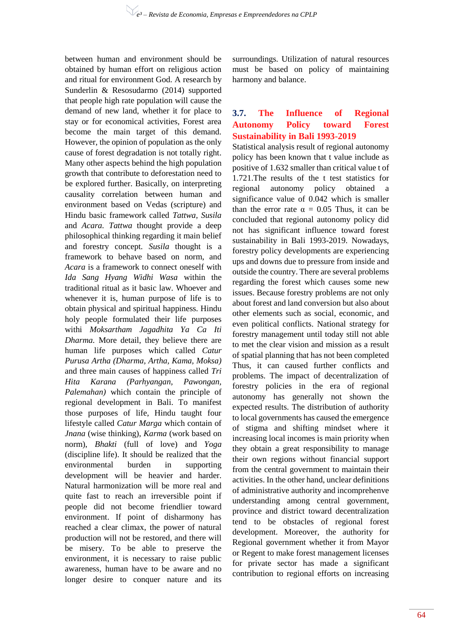between human and environment should be obtained by human effort on religious action and ritual for environment God. A research by Sunderlin & Resosudarmo (2014) supported that people high rate population will cause the demand of new land, whether it for place to stay or for economical activities, Forest area become the main target of this demand. However, the opinion of population as the only cause of forest degradation is not totally right. Many other aspects behind the high population growth that contribute to deforestation need to be explored further. Basically, on interpreting causality correlation between human and environment based on Vedas (scripture) and Hindu basic framework called *Tattwa, Susila*  and *Acara. Tattwa* thought provide a deep philosophical thinking regarding it main belief and forestry concept. *Susila* thought is a framework to behave based on norm, and *Acara* is a framework to connect oneself with *Ida Sang Hyang Widhi Wasa* within the traditional ritual as it basic law. Whoever and whenever it is, human purpose of life is to obtain physical and spiritual happiness. Hindu holy people formulated their life purposes withi *Moksartham Jagadhita Ya Ca Iti Dharma.* More detail, they believe there are human life purposes which called *Catur Purusa Artha (Dharma, Artha, Kama, Moksa)*  and three main causes of happiness called *Tri Hita Karana (Parhyangan, Pawongan, Palemahan)* which contain the principle of regional development in Bali. To manifest those purposes of life, Hindu taught four lifestyle called *Catur Marga* which contain of *Jnana* (wise thinking), *Karma* (work based on norm), *Bhakti* (full of love) and *Yoga* (discipline life). It should be realized that the environmental burden in supporting development will be heavier and harder. Natural harmonization will be more real and quite fast to reach an irreversible point if people did not become friendlier toward environment. If point of disharmony has reached a clear climax, the power of natural production will not be restored, and there will be misery. To be able to preserve the environment, it is necessary to raise public awareness, human have to be aware and no longer desire to conquer nature and its

surroundings. Utilization of natural resources must be based on policy of maintaining harmony and balance.

#### **3.7. The Influence of Regional Autonomy Policy toward Forest Sustainability in Bali 1993-2019**

Statistical analysis result of regional autonomy policy has been known that t value include as positive of 1.632 smaller than critical value t of 1.721.The results of the t test statistics for regional autonomy policy obtained a significance value of 0.042 which is smaller than the error rate  $\alpha = 0.05$  Thus, it can be concluded that regional autonomy policy did not has significant influence toward forest sustainability in Bali 1993-2019. Nowadays, forestry policy developments are experiencing ups and downs due to pressure from inside and outside the country. There are several problems regarding the forest which causes some new issues. Because forestry problems are not only about forest and land conversion but also about other elements such as social, economic, and even political conflicts. National strategy for forestry management until today still not able to met the clear vision and mission as a result of spatial planning that has not been completed Thus, it can caused further conflicts and problems. The impact of decentralization of forestry policies in the era of regional autonomy has generally not shown the expected results. The distribution of authority to local governments has caused the emergence of stigma and shifting mindset where it increasing local incomes is main priority when they obtain a great responsibility to manage their own regions without financial support from the central government to maintain their activities. In the other hand, unclear definitions of administrative authority and incomprehenve understanding among central government, province and district toward decentralization tend to be obstacles of regional forest development. Moreover, the authority for Regional government whether it from Mayor or Regent to make forest management licenses for private sector has made a significant contribution to regional efforts on increasing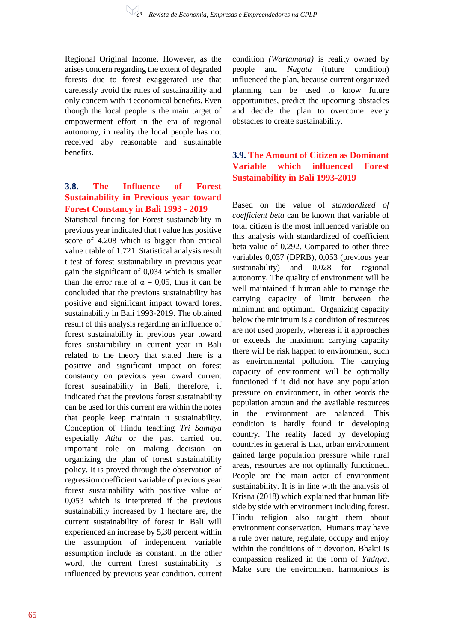Regional Original Income. However, as the arises concern regarding the extent of degraded forests due to forest exaggerated use that carelessly avoid the rules of sustainability and only concern with it economical benefits. Even though the local people is the main target of empowerment effort in the era of regional autonomy, in reality the local people has not received aby reasonable and sustainable benefits.

### **3.8. The Influence of Forest Sustainability in Previous year toward Forest Constancy in Bali 1993 - 2019**

Statistical fincing for Forest sustainability in previous year indicated that t value has positive score of 4.208 which is bigger than critical value t table of 1.721. Statistical analysis result t test of forest sustainability in previous year gain the significant of 0,034 which is smaller than the error rate of  $\alpha = 0.05$ , thus it can be concluded that the previous sustainability has positive and significant impact toward forest sustainability in Bali 1993-2019. The obtained result of this analysis regarding an influence of forest sustainability in previous year toward fores sustainibility in current year in Bali related to the theory that stated there is a positive and significant impact on forest constancy on previous year oward current forest susainability in Bali, therefore, it indicated that the previous forest sustainability can be used for this current era within the notes that people keep maintain it sustainability. Conception of Hindu teaching *Tri Samaya* especially *Atita* or the past carried out important role on making decision on organizing the plan of forest sustainability policy. It is proved through the observation of regression coefficient variable of previous year forest sustainability with positive value of 0,053 which is interpreted if the previous sustainability increased by 1 hectare are, the current sustainability of forest in Bali will experienced an increase by 5,30 percent within the assumption of independent variable assumption include as constant. in the other word, the current forest sustainability is influenced by previous year condition. current

condition *(Wartamana)* is reality owned by people and *Nagata* (future condition) influenced the plan, because current organized planning can be used to know future opportunities, predict the upcoming obstacles and decide the plan to overcome every obstacles to create sustainability.

# **3.9. The Amount of Citizen as Dominant Variable which influenced Forest Sustainability in Bali 1993-2019**

Based on the value of *standardized of coefficient beta* can be known that variable of total citizen is the most influenced variable on this analysis with standardized of coefficient beta value of 0,292. Compared to other three variables 0,037 (DPRB), 0,053 (previous year sustainability) and 0,028 for regional autonomy. The quality of environment will be well maintained if human able to manage the carrying capacity of limit between the minimum and optimum. Organizing capacity below the minimum is a condition of resources are not used properly, whereas if it approaches or exceeds the maximum carrying capacity there will be risk happen to environment, such as environmental pollution. The carrying capacity of environment will be optimally functioned if it did not have any population pressure on environment, in other words the population amoun and the available resources in the environment are balanced. This condition is hardly found in developing country. The reality faced by developing countries in general is that, urban environment gained large population pressure while rural areas, resources are not optimally functioned. People are the main actor of environment sustainability. It is in line with the analysis of Krisna (2018) which explained that human life side by side with environment including forest. Hindu religion also taught them about environment conservation. Humans may have a rule over nature, regulate, occupy and enjoy within the conditions of it devotion. Bhakti is compassion realized in the form of *Yadnya*. Make sure the environment harmonious is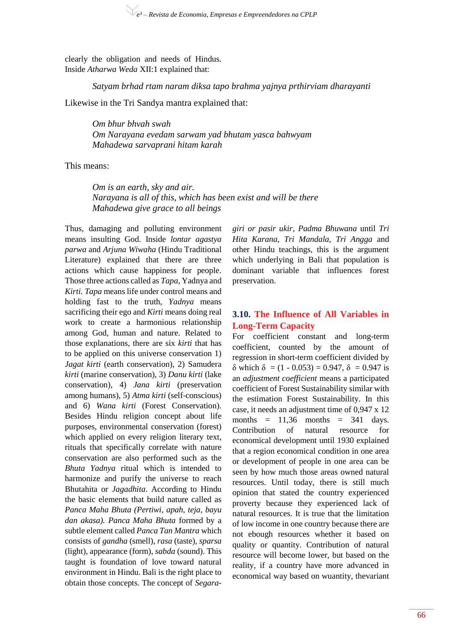clearly the obligation and needs of Hindus. Inside *Atharwa Weda* XII:1 explained that:

*Satyam brhad rtam naram diksa tapo brahma yajnya prthirviam dharayanti*

Likewise in the Tri Sandya mantra explained that:

*Om bhur bhvah swah Om Narayana evedam sarwam yad bhutam yasca bahwyam Mahadewa sarvaprani hitam karah*

This means:

*Om is an earth, sky and air. Narayana is all of this, which has been exist and will be there Mahadewa give grace to all beings*

Thus, damaging and polluting environment means insulting God. Inside *lontar agastya parwa* and *Arjuna Wiwaha* (Hindu Traditional Literature) explained that there are three actions which cause happiness for people. Those three actions called as *Tapa,* Yadnya and *Kirti. Tapa* means life under control means and holding fast to the truth, *Yadnya* means sacrificing their ego and *Kirti* means doing real work to create a harmonious relationship among God, human and nature*.* Related to those explanations, there are six *kirti* that has to be applied on this universe conservation 1) *Jagat kirti* (earth conservation), 2) Samudera *kirti* (marine conservation), 3) *Danu kirti* (lake conservation), 4) *Jana kirti* (preservation among humans), 5) *Atma kirti* (self-conscious) and 6) *Wana kirti* (Forest Conservation). Besides Hindu religion concept about life purposes, environmental conservation (forest) which applied on every religion literary text, rituals that specifically correlate with nature conservation are also performed such as the *Bhuta Yadnya* ritual which is intended to harmonize and purify the universe to reach Bhutahita or *Jagadhita*. According to Hindu the basic elements that build nature called as *Panca Maha Bhuta (Pertiwi, apah, teja, bayu dan akasa). Panca Maha Bhuta* formed by a subtle element called *Panca Tan Mantra* which consists of *gandha* (smell), *rasa* (taste), *sparsa* (light), appearance (form), *sabda* (sound). This taught is foundation of love toward natural environment in Hindu. Bali is the right place to obtain those concepts. The concept of *Segara-* *giri or pasir ukir*, *Padma Bhuwana* until *Tri Hita Karana, Tri Mandala, Tri Angga* and other Hindu teachings, this is the argument which underlying in Bali that population is dominant variable that influences forest preservation.

## **3.10. The Influence of All Variables in Long-Term Capacity**

For coefficient constant and long-term coefficient, counted by the amount of regression in short-term coefficient divided by  $δ$  which  $δ = (1 - 0.053) = 0.947$ ,  $δ = 0.947$  is an *adjustment coefficient* means a participated coefficient of Forest Sustainability similar with the estimation Forest Sustainability. In this case, it needs an adjustment time of 0,947 x 12 months  $= 11.36$  months  $= 341$  days. Contribution of natural resource for economical development until 1930 explained that a region economical condition in one area or development of people in one area can be seen by how much those areas owned natural resources. Until today, there is still much opinion that stated the country experienced proverty because they experienced lack of natural resources. It is true that the limitation of low income in one country because there are not ebough resources whether it based on quality or quantity. Contribution of natural resource will become lower, but based on the reality, if a country have more advanced in economical way based on wuantity, thevariant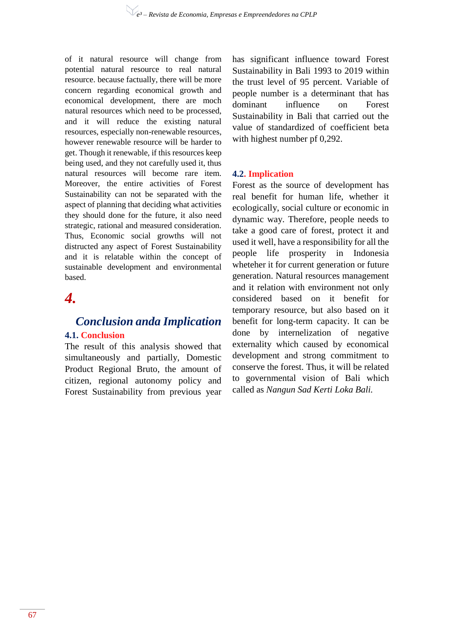of it natural resource will change from potential natural resource to real natural resource. because factually, there will be more concern regarding economical growth and economical development, there are moch natural resources which need to be processed, and it will reduce the existing natural resources, especially non-renewable resources, however renewable resource will be harder to get. Though it renewable, if this resources keep being used, and they not carefully used it, thus natural resources will become rare item. Moreover, the entire activities of Forest Sustainability can not be separated with the aspect of planning that deciding what activities they should done for the future, it also need strategic, rational and measured consideration. Thus, Economic social growths will not distructed any aspect of Forest Sustainability and it is relatable within the concept of sustainable development and environmental based.

# *4.*

# *Conclusion anda Implication* **4.1. Conclusion**

The result of this analysis showed that simultaneously and partially, Domestic Product Regional Bruto, the amount of citizen, regional autonomy policy and Forest Sustainability from previous year has significant influence toward Forest Sustainability in Bali 1993 to 2019 within the trust level of 95 percent. Variable of people number is a determinant that has dominant influence on Forest Sustainability in Bali that carried out the value of standardized of coefficient beta with highest number pf 0,292.

## **4.2. Implication**

Forest as the source of development has real benefit for human life, whether it ecologically, social culture or economic in dynamic way. Therefore, people needs to take a good care of forest, protect it and used it well, have a responsibility for all the people life prosperity in Indonesia wheteher it for current generation or future generation. Natural resources management and it relation with environment not only considered based on it benefit for temporary resource, but also based on it benefit for long-term capacity. It can be done by internelization of negative externality which caused by economical development and strong commitment to conserve the forest. Thus, it will be related to governmental vision of Bali which called as *Nangun Sad Kerti Loka Bali.*